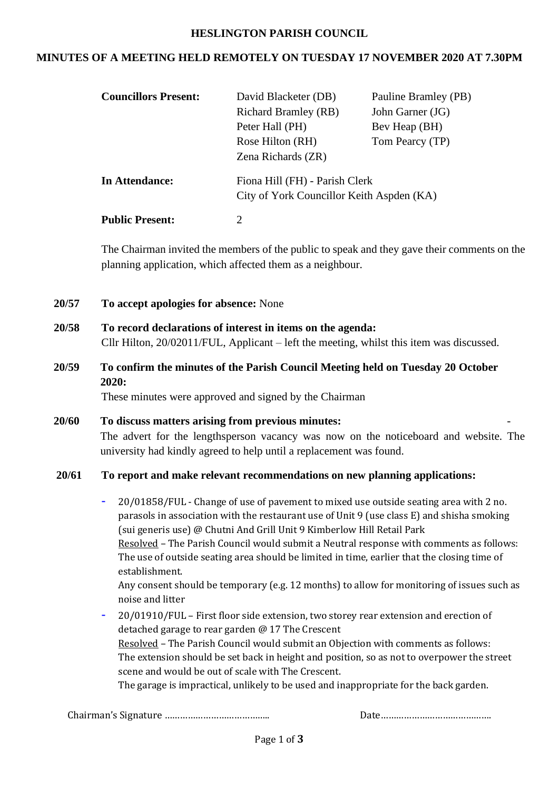#### **HESLINGTON PARISH COUNCIL**

### **MINUTES OF A MEETING HELD REMOTELY ON TUESDAY 17 NOVEMBER 2020 AT 7.30PM**

| <b>Councillors Present:</b> | David Blacketer (DB)<br><b>Richard Bramley (RB)</b><br>Peter Hall (PH)<br>Rose Hilton (RH)<br>Zena Richards (ZR) | Pauline Bramley (PB)<br>John Garner (JG)<br>Bev Heap (BH)<br>Tom Pearcy (TP) |  |
|-----------------------------|------------------------------------------------------------------------------------------------------------------|------------------------------------------------------------------------------|--|
| In Attendance:              | Fiona Hill (FH) - Parish Clerk<br>City of York Councillor Keith Aspden (KA)                                      |                                                                              |  |
| <b>Public Present:</b>      | 2                                                                                                                |                                                                              |  |

The Chairman invited the members of the public to speak and they gave their comments on the planning application, which affected them as a neighbour.

- **20/57 To accept apologies for absence:** None
- **20/58 To record declarations of interest in items on the agenda:**  Cllr Hilton, 20/02011/FUL, Applicant – left the meeting, whilst this item was discussed.
- **20/59 To confirm the minutes of the Parish Council Meeting held on Tuesday 20 October 2020:**

These minutes were approved and signed by the Chairman

**20/60 To discuss matters arising from previous minutes:** - The advert for the lengthsperson vacancy was now on the noticeboard and website. The university had kindly agreed to help until a replacement was found.

#### **20/61 To report and make relevant recommendations on new planning applications:**

- 20/01858/FUL Change of use of pavement to mixed use outside seating area with 2 no. parasols in association with the restaurant use of Unit 9 (use class E) and shisha smoking (sui generis use) @ Chutni And Grill Unit 9 Kimberlow Hill Retail Park Resolved – The Parish Council would submit a Neutral response with comments as follows: The use of outside seating area should be limited in time, earlier that the closing time of establishment. Any consent should be temporary (e.g. 12 months) to allow for monitoring of issues such as noise and litter
- 20/01910/FUL First floor side extension, two storey rear extension and erection of detached garage to rear garden @ 17 The Crescent Resolved – The Parish Council would submit an Objection with comments as follows: The extension should be set back in height and position, so as not to overpower the street scene and would be out of scale with The Crescent. The garage is impractical, unlikely to be used and inappropriate for the back garden.

Chairman's Signature ………………………………….. Date…………………………………….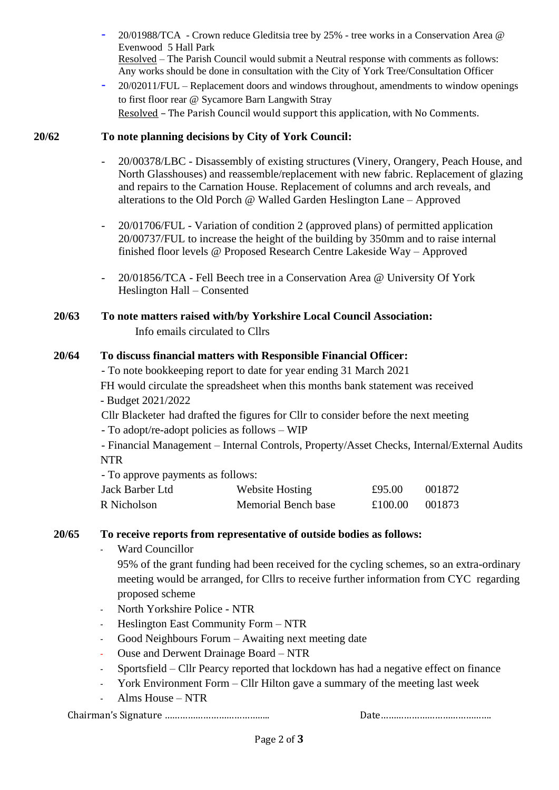- 20/01988/TCA Crown reduce Gleditsia tree by 25% tree works in a Conservation Area @ Evenwood 5 Hall Park Resolved – The Parish Council would submit a Neutral response with comments as follows: Any works should be done in consultation with the City of York Tree/Consultation Officer
- 20/02011/FUL Replacement doors and windows throughout, amendments to window openings to first floor rear @ Sycamore Barn Langwith Stray Resolved – The Parish Council would support this application, with No Comments.

### **20/62 To note planning decisions by City of York Council:**

- 20/00378/LBC Disassembly of existing structures (Vinery, Orangery, Peach House, and North Glasshouses) and reassemble/replacement with new fabric. Replacement of glazing and repairs to the Carnation House. Replacement of columns and arch reveals, and alterations to the Old Porch @ Walled Garden Heslington Lane – Approved
- 20/01706/FUL Variation of condition 2 (approved plans) of permitted application 20/00737/FUL to increase the height of the building by 350mm and to raise internal finished floor levels @ Proposed Research Centre Lakeside Way – Approved
- 20/01856/TCA Fell Beech tree in a Conservation Area @ University Of York Heslington Hall – Consented

### **20/63 To note matters raised with/by Yorkshire Local Council Association:** Info emails circulated to Cllrs

### **20/64 To discuss financial matters with Responsible Financial Officer:**

- To note bookkeeping report to date for year ending 31 March 2021 FH would circulate the spreadsheet when this months bank statement was received - Budget 2021/2022

Cllr Blacketer had drafted the figures for Cllr to consider before the next meeting - To adopt/re-adopt policies as follows – WIP

- Financial Management – Internal Controls, Property/Asset Checks, Internal/External Audits NTR

- To approve payments as follows:

| Jack Barber Ltd | Website Hosting     | £95.00  | 001872 |
|-----------------|---------------------|---------|--------|
| R Nicholson     | Memorial Bench base | £100.00 | 001873 |

#### **20/65 To receive reports from representative of outside bodies as follows:**

Ward Councillor

95% of the grant funding had been received for the cycling schemes, so an extra-ordinary meeting would be arranged, for Cllrs to receive further information from CYC regarding proposed scheme

- North Yorkshire Police NTR
- Heslington East Community Form NTR
- Good Neighbours Forum Awaiting next meeting date
- Ouse and Derwent Drainage Board NTR
- Sportsfield Cllr Pearcy reported that lockdown has had a negative effect on finance
- York Environment Form Cllr Hilton gave a summary of the meeting last week
- Alms House NTR

Chairman's Signature ………………………………….. Date…………………………………….